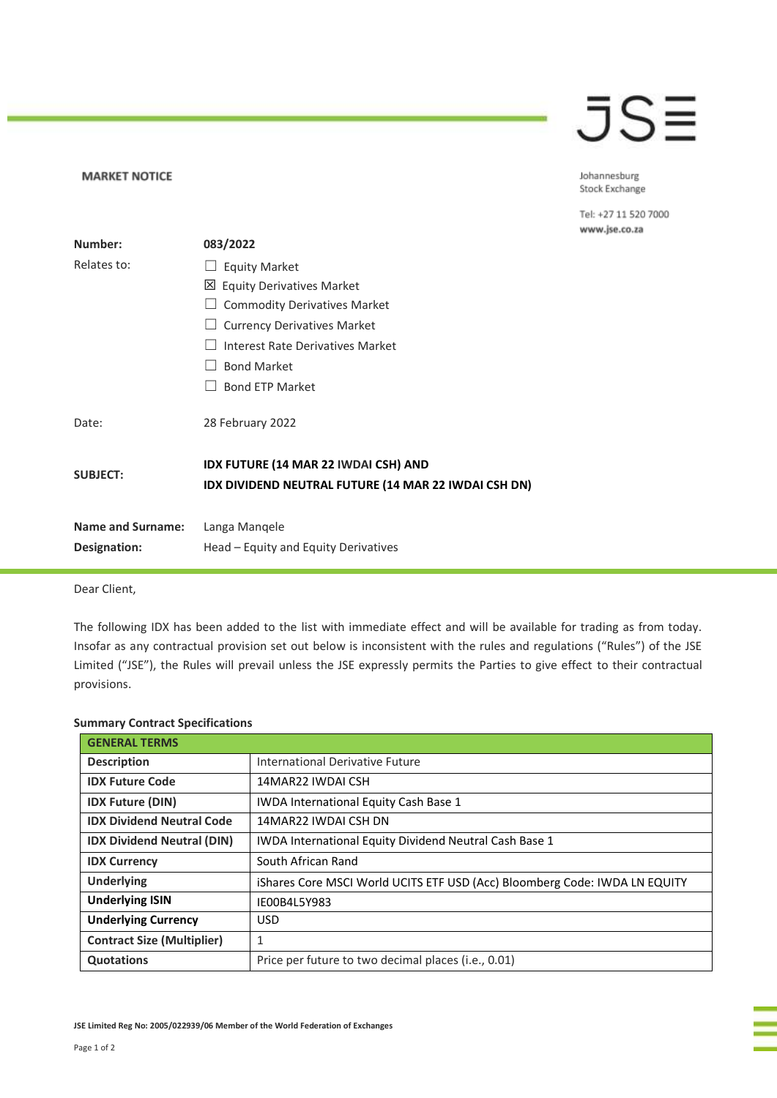## JSE

Johannesburg Stock Exchange

Tel: +27 11 520 7000 www.jse.co.za

| Number:                  | 083/2022                                                                                     |
|--------------------------|----------------------------------------------------------------------------------------------|
| Relates to:              | <b>Equity Market</b>                                                                         |
|                          | 凶 Equity Derivatives Market                                                                  |
|                          | <b>Commodity Derivatives Market</b>                                                          |
|                          | <b>Currency Derivatives Market</b>                                                           |
|                          | Interest Rate Derivatives Market                                                             |
|                          | <b>Bond Market</b>                                                                           |
|                          | <b>Bond ETP Market</b>                                                                       |
| Date:                    | 28 February 2022                                                                             |
| <b>SUBJECT:</b>          | IDX FUTURE (14 MAR 22 IWDAI CSH) AND<br>IDX DIVIDEND NEUTRAL FUTURE (14 MAR 22 IWDAI CSH DN) |
| <b>Name and Surname:</b> | Langa Mangele                                                                                |
| Designation:             | Head – Equity and Equity Derivatives                                                         |

Dear Client,

**MARKET NOTICE** 

The following IDX has been added to the list with immediate effect and will be available for trading as from today. Insofar as any contractual provision set out below is inconsistent with the rules and regulations ("Rules") of the JSE Limited ("JSE"), the Rules will prevail unless the JSE expressly permits the Parties to give effect to their contractual provisions.

| <b>GENERAL TERMS</b>              |                                                                            |
|-----------------------------------|----------------------------------------------------------------------------|
| <b>Description</b>                | International Derivative Future                                            |
| <b>IDX Future Code</b>            | 14MAR22 IWDAI CSH                                                          |
| <b>IDX Future (DIN)</b>           | <b>IWDA International Equity Cash Base 1</b>                               |
| <b>IDX Dividend Neutral Code</b>  | 14MAR22 IWDAI CSH DN                                                       |
| <b>IDX Dividend Neutral (DIN)</b> | <b>IWDA International Equity Dividend Neutral Cash Base 1</b>              |
| <b>IDX Currency</b>               | South African Rand                                                         |
| <b>Underlying</b>                 | iShares Core MSCI World UCITS ETF USD (Acc) Bloomberg Code: IWDA LN EQUITY |
| <b>Underlying ISIN</b>            | IE00B4L5Y983                                                               |
| <b>Underlying Currency</b>        | <b>USD</b>                                                                 |
| <b>Contract Size (Multiplier)</b> | 1                                                                          |
| <b>Quotations</b>                 | Price per future to two decimal places (i.e., 0.01)                        |

## **Summary Contract Specifications**